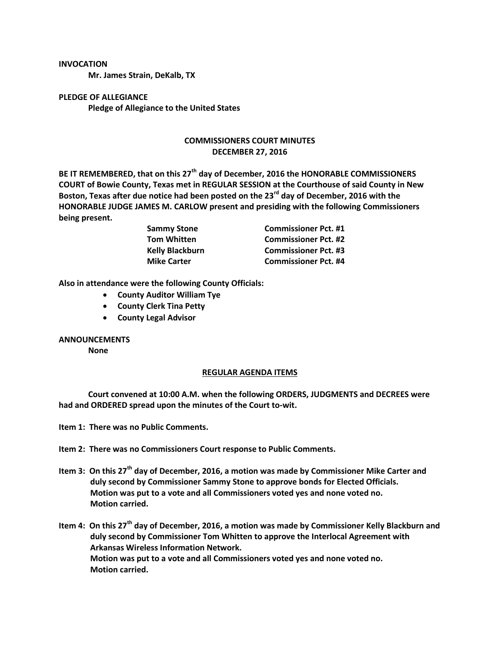## **INVOCATION**

**Mr. James Strain, DeKalb, TX**

**PLEDGE OF ALLEGIANCE Pledge of Allegiance to the United States**

## **COMMISSIONERS COURT MINUTES DECEMBER 27, 2016**

**BE IT REMEMBERED, that on this 27th day of December, 2016 the HONORABLE COMMISSIONERS COURT of Bowie County, Texas met in REGULAR SESSION at the Courthouse of said County in New Boston, Texas after due notice had been posted on the 23rd day of December, 2016 with the HONORABLE JUDGE JAMES M. CARLOW present and presiding with the following Commissioners being present.**

> **Sammy Stone Commissioner Pct. #1 Tom Whitten Commissioner Pct. #2 Kelly Blackburn Commissioner Pct. #3 Mike Carter Commissioner Pct. #4**

**Also in attendance were the following County Officials:**

- **County Auditor William Tye**
- **County Clerk Tina Petty**
- **County Legal Advisor**

## **ANNOUNCEMENTS**

**None**

## **REGULAR AGENDA ITEMS**

**Court convened at 10:00 A.M. when the following ORDERS, JUDGMENTS and DECREES were had and ORDERED spread upon the minutes of the Court to-wit.**

**Item 1: There was no Public Comments.**

**Item 2: There was no Commissioners Court response to Public Comments.**

**Item 3: On this 27th day of December, 2016, a motion was made by Commissioner Mike Carter and duly second by Commissioner Sammy Stone to approve bonds for Elected Officials. Motion was put to a vote and all Commissioners voted yes and none voted no. Motion carried.**

**Item 4: On this 27th day of December, 2016, a motion was made by Commissioner Kelly Blackburn and duly second by Commissioner Tom Whitten to approve the Interlocal Agreement with Arkansas Wireless Information Network. Motion was put to a vote and all Commissioners voted yes and none voted no. Motion carried.**